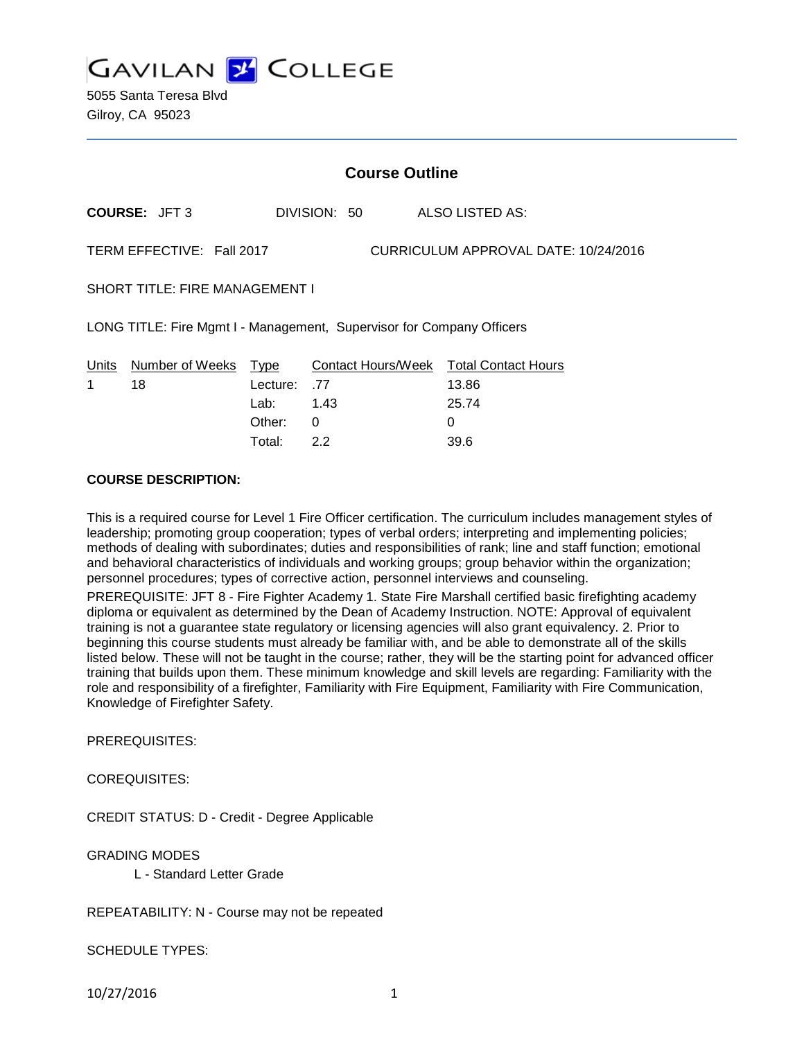**GAVILAN Y COLLEGE** 

5055 Santa Teresa Blvd Gilroy, CA 95023

|                                                                       | <b>Course Outline</b> |              |  |                                                          |  |  |
|-----------------------------------------------------------------------|-----------------------|--------------|--|----------------------------------------------------------|--|--|
| <b>COURSE: JFT 3</b>                                                  |                       | DIVISION: 50 |  | ALSO LISTED AS:                                          |  |  |
| CURRICULUM APPROVAL DATE: 10/24/2016<br>TERM EFFECTIVE: Fall 2017     |                       |              |  |                                                          |  |  |
| <b>SHORT TITLE: FIRE MANAGEMENT I</b>                                 |                       |              |  |                                                          |  |  |
| LONG TITLE: Fire Mgmt I - Management, Supervisor for Company Officers |                       |              |  |                                                          |  |  |
| Number of Weeks Type<br>Units<br>18                                   | Lecture:<br>Lab: __   | .77<br>1.43  |  | Contact Hours/Week Total Contact Hours<br>13.86<br>25.74 |  |  |
|                                                                       | Other:                | 0            |  | 0                                                        |  |  |

Total: 2.2 39.6

#### **COURSE DESCRIPTION:**

This is a required course for Level 1 Fire Officer certification. The curriculum includes management styles of leadership; promoting group cooperation; types of verbal orders; interpreting and implementing policies; methods of dealing with subordinates; duties and responsibilities of rank; line and staff function; emotional and behavioral characteristics of individuals and working groups; group behavior within the organization; personnel procedures; types of corrective action, personnel interviews and counseling.

PREREQUISITE: JFT 8 - Fire Fighter Academy 1. State Fire Marshall certified basic firefighting academy diploma or equivalent as determined by the Dean of Academy Instruction. NOTE: Approval of equivalent training is not a guarantee state regulatory or licensing agencies will also grant equivalency. 2. Prior to beginning this course students must already be familiar with, and be able to demonstrate all of the skills listed below. These will not be taught in the course; rather, they will be the starting point for advanced officer training that builds upon them. These minimum knowledge and skill levels are regarding: Familiarity with the role and responsibility of a firefighter, Familiarity with Fire Equipment, Familiarity with Fire Communication, Knowledge of Firefighter Safety.

PREREQUISITES:

COREQUISITES:

CREDIT STATUS: D - Credit - Degree Applicable

GRADING MODES

L - Standard Letter Grade

REPEATABILITY: N - Course may not be repeated

SCHEDULE TYPES:

10/27/2016 1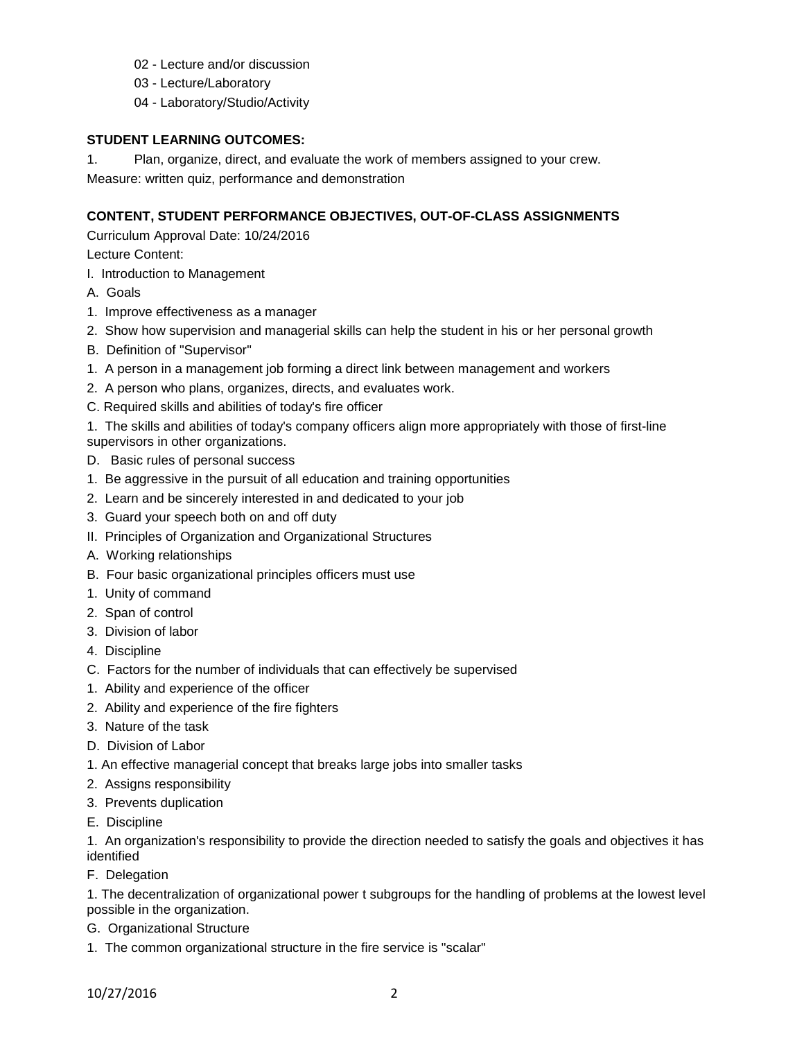- 02 Lecture and/or discussion
- 03 Lecture/Laboratory
- 04 Laboratory/Studio/Activity

#### **STUDENT LEARNING OUTCOMES:**

1. Plan, organize, direct, and evaluate the work of members assigned to your crew. Measure: written quiz, performance and demonstration

## **CONTENT, STUDENT PERFORMANCE OBJECTIVES, OUT-OF-CLASS ASSIGNMENTS**

Curriculum Approval Date: 10/24/2016

Lecture Content:

- I. Introduction to Management
- A. Goals
- 1. Improve effectiveness as a manager
- 2. Show how supervision and managerial skills can help the student in his or her personal growth
- B. Definition of "Supervisor"
- 1. A person in a management job forming a direct link between management and workers
- 2. A person who plans, organizes, directs, and evaluates work.
- C. Required skills and abilities of today's fire officer

1. The skills and abilities of today's company officers align more appropriately with those of first-line supervisors in other organizations.

- D. Basic rules of personal success
- 1. Be aggressive in the pursuit of all education and training opportunities
- 2. Learn and be sincerely interested in and dedicated to your job
- 3. Guard your speech both on and off duty
- II. Principles of Organization and Organizational Structures
- A. Working relationships
- B. Four basic organizational principles officers must use
- 1. Unity of command
- 2. Span of control
- 3. Division of labor
- 4. Discipline
- C. Factors for the number of individuals that can effectively be supervised
- 1. Ability and experience of the officer
- 2. Ability and experience of the fire fighters
- 3. Nature of the task
- D. Division of Labor
- 1. An effective managerial concept that breaks large jobs into smaller tasks
- 2. Assigns responsibility
- 3. Prevents duplication
- E. Discipline

1. An organization's responsibility to provide the direction needed to satisfy the goals and objectives it has identified

F. Delegation

1. The decentralization of organizational power t subgroups for the handling of problems at the lowest level possible in the organization.

- G. Organizational Structure
- 1. The common organizational structure in the fire service is "scalar"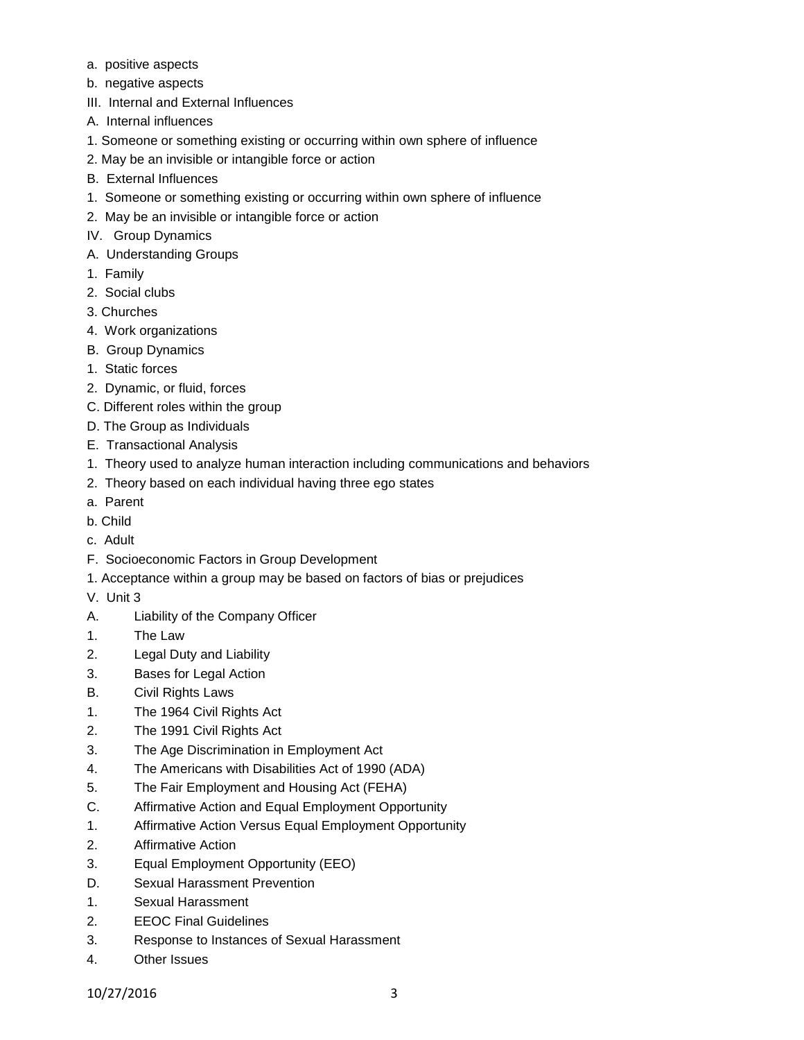- a. positive aspects
- b. negative aspects
- III. Internal and External Influences
- A. Internal influences
- 1. Someone or something existing or occurring within own sphere of influence
- 2. May be an invisible or intangible force or action
- B. External Influences
- 1. Someone or something existing or occurring within own sphere of influence
- 2. May be an invisible or intangible force or action
- IV. Group Dynamics
- A. Understanding Groups
- 1. Family
- 2. Social clubs
- 3. Churches
- 4. Work organizations
- B. Group Dynamics
- 1. Static forces
- 2. Dynamic, or fluid, forces
- C. Different roles within the group
- D. The Group as Individuals
- E. Transactional Analysis
- 1. Theory used to analyze human interaction including communications and behaviors
- 2. Theory based on each individual having three ego states
- a. Parent
- b. Child
- c. Adult
- F. Socioeconomic Factors in Group Development
- 1. Acceptance within a group may be based on factors of bias or prejudices
- V. Unit 3
- A. Liability of the Company Officer
- 1. The Law
- 2. Legal Duty and Liability
- 3. Bases for Legal Action
- B. Civil Rights Laws
- 1. The 1964 Civil Rights Act
- 2. The 1991 Civil Rights Act
- 3. The Age Discrimination in Employment Act
- 4. The Americans with Disabilities Act of 1990 (ADA)
- 5. The Fair Employment and Housing Act (FEHA)
- C. Affirmative Action and Equal Employment Opportunity
- 1. Affirmative Action Versus Equal Employment Opportunity
- 2. Affirmative Action
- 3. Equal Employment Opportunity (EEO)
- D. Sexual Harassment Prevention
- 1. Sexual Harassment
- 2. EEOC Final Guidelines
- 3. Response to Instances of Sexual Harassment
- 4. Other Issues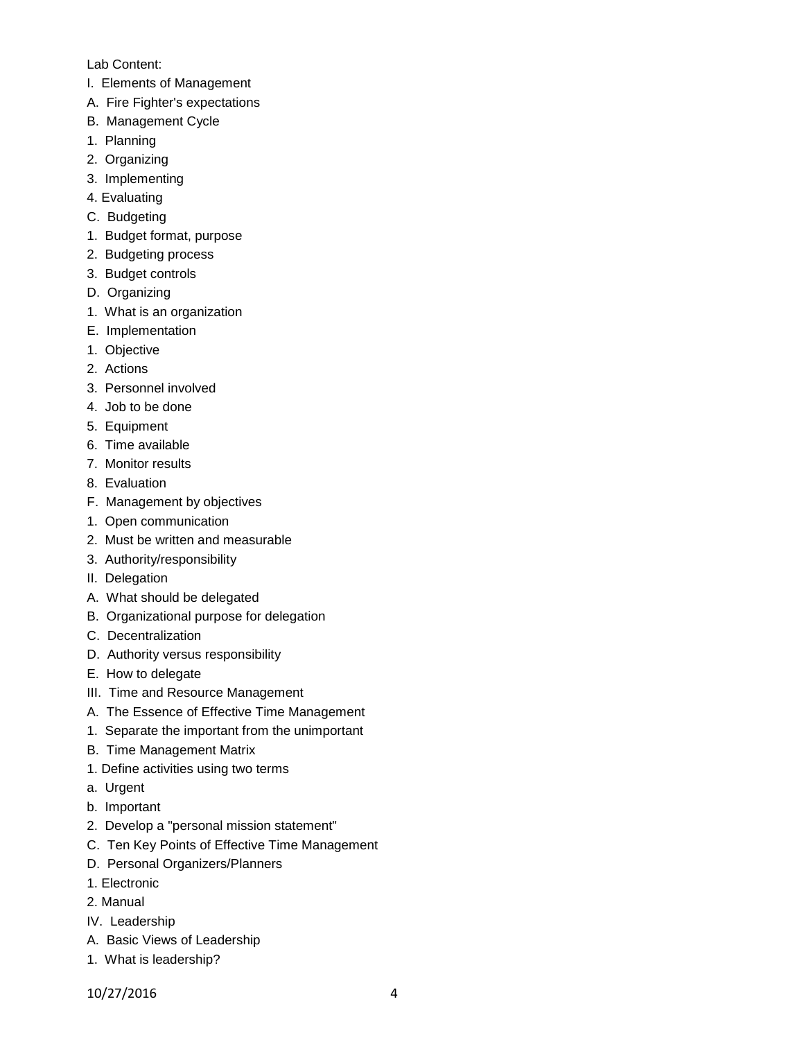#### Lab Content:

- I. Elements of Management
- A. Fire Fighter's expectations
- B. Management Cycle
- 1. Planning
- 2. Organizing
- 3. Implementing
- 4. Evaluating
- C. Budgeting
- 1. Budget format, purpose
- 2. Budgeting process
- 3. Budget controls
- D. Organizing
- 1. What is an organization
- E. Implementation
- 1. Objective
- 2. Actions
- 3. Personnel involved
- 4. Job to be done
- 5. Equipment
- 6. Time available
- 7. Monitor results
- 8. Evaluation
- F. Management by objectives
- 1. Open communication
- 2. Must be written and measurable
- 3. Authority/responsibility
- II. Delegation
- A. What should be delegated
- B. Organizational purpose for delegation
- C. Decentralization
- D. Authority versus responsibility
- E. How to delegate
- III. Time and Resource Management
- A. The Essence of Effective Time Management
- 1. Separate the important from the unimportant
- B. Time Management Matrix
- 1. Define activities using two terms
- a. Urgent
- b. Important
- 2. Develop a "personal mission statement"
- C. Ten Key Points of Effective Time Management
- D. Personal Organizers/Planners
- 1. Electronic
- 2. Manual
- IV. Leadership
- A. Basic Views of Leadership
- 1. What is leadership?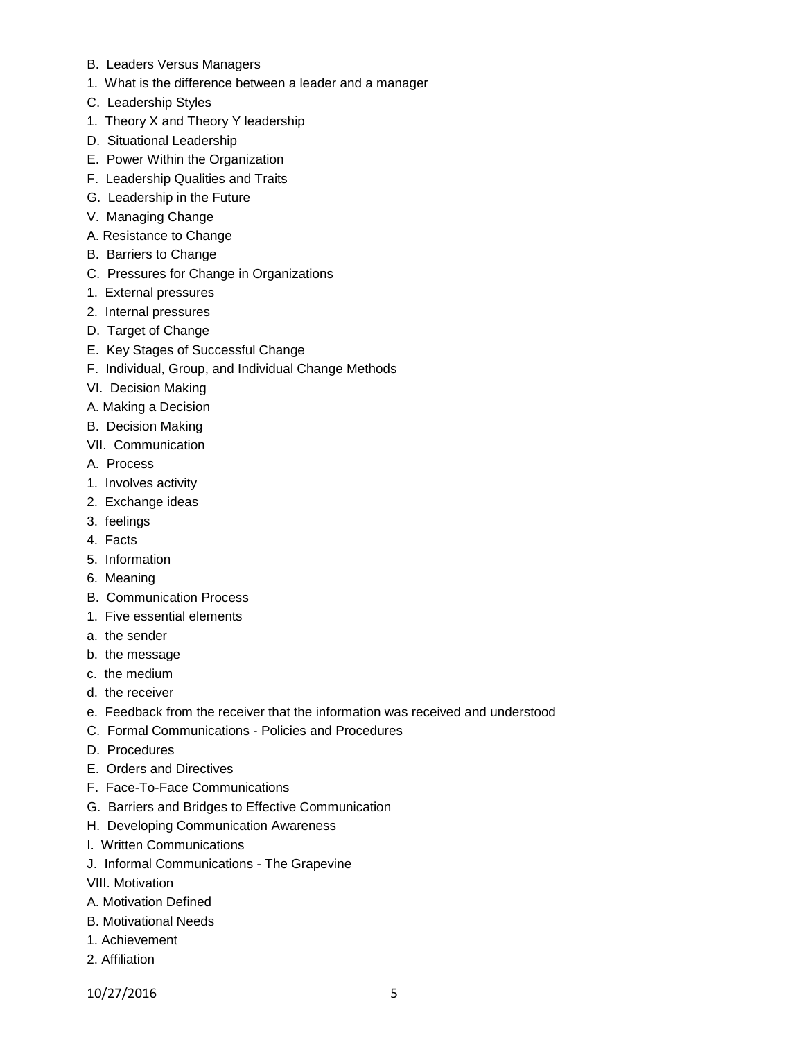- B. Leaders Versus Managers
- 1. What is the difference between a leader and a manager
- C. Leadership Styles
- 1. Theory X and Theory Y leadership
- D. Situational Leadership
- E. Power Within the Organization
- F. Leadership Qualities and Traits
- G. Leadership in the Future
- V. Managing Change
- A. Resistance to Change
- B. Barriers to Change
- C. Pressures for Change in Organizations
- 1. External pressures
- 2. Internal pressures
- D. Target of Change
- E. Key Stages of Successful Change
- F. Individual, Group, and Individual Change Methods
- VI. Decision Making
- A. Making a Decision
- B. Decision Making
- VII. Communication
- A. Process
- 1. Involves activity
- 2. Exchange ideas
- 3. feelings
- 4. Facts
- 5. Information
- 6. Meaning
- B. Communication Process
- 1. Five essential elements
- a. the sender
- b. the message
- c. the medium
- d. the receiver
- e. Feedback from the receiver that the information was received and understood
- C. Formal Communications Policies and Procedures
- D. Procedures
- E. Orders and Directives
- F. Face-To-Face Communications
- G. Barriers and Bridges to Effective Communication
- H. Developing Communication Awareness
- I. Written Communications
- J. Informal Communications The Grapevine
- VIII. Motivation
- A. Motivation Defined
- B. Motivational Needs
- 1. Achievement
- 2. Affiliation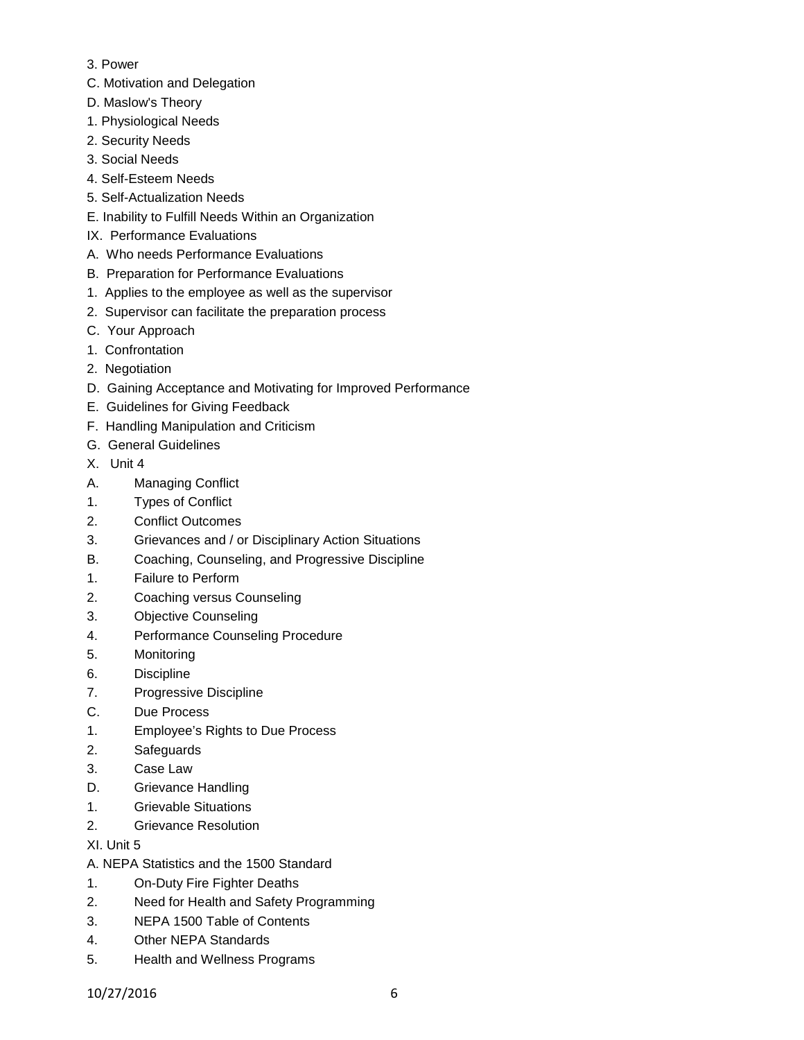- 3. Power
- C. Motivation and Delegation
- D. Maslow's Theory
- 1. Physiological Needs
- 2. Security Needs
- 3. Social Needs
- 4. Self-Esteem Needs
- 5. Self-Actualization Needs
- E. Inability to Fulfill Needs Within an Organization
- IX. Performance Evaluations
- A. Who needs Performance Evaluations
- B. Preparation for Performance Evaluations
- 1. Applies to the employee as well as the supervisor
- 2. Supervisor can facilitate the preparation process
- C. Your Approach
- 1. Confrontation
- 2. Negotiation
- D. Gaining Acceptance and Motivating for Improved Performance
- E. Guidelines for Giving Feedback
- F. Handling Manipulation and Criticism
- G. General Guidelines
- X. Unit 4
- A. Managing Conflict
- 1. Types of Conflict
- 2. Conflict Outcomes
- 3. Grievances and / or Disciplinary Action Situations
- B. Coaching, Counseling, and Progressive Discipline
- 1. Failure to Perform
- 2. Coaching versus Counseling
- 3. Objective Counseling
- 4. Performance Counseling Procedure
- 5. Monitoring
- 6. Discipline
- 7. Progressive Discipline
- C. Due Process
- 1. Employee's Rights to Due Process
- 2. Safeguards
- 3. Case Law
- D. Grievance Handling
- 1. Grievable Situations
- 2. Grievance Resolution
- XI. Unit 5
- A. NEPA Statistics and the 1500 Standard
- 1. On-Duty Fire Fighter Deaths
- 2. Need for Health and Safety Programming
- 3. NEPA 1500 Table of Contents
- 4. Other NEPA Standards
- 5. Health and Wellness Programs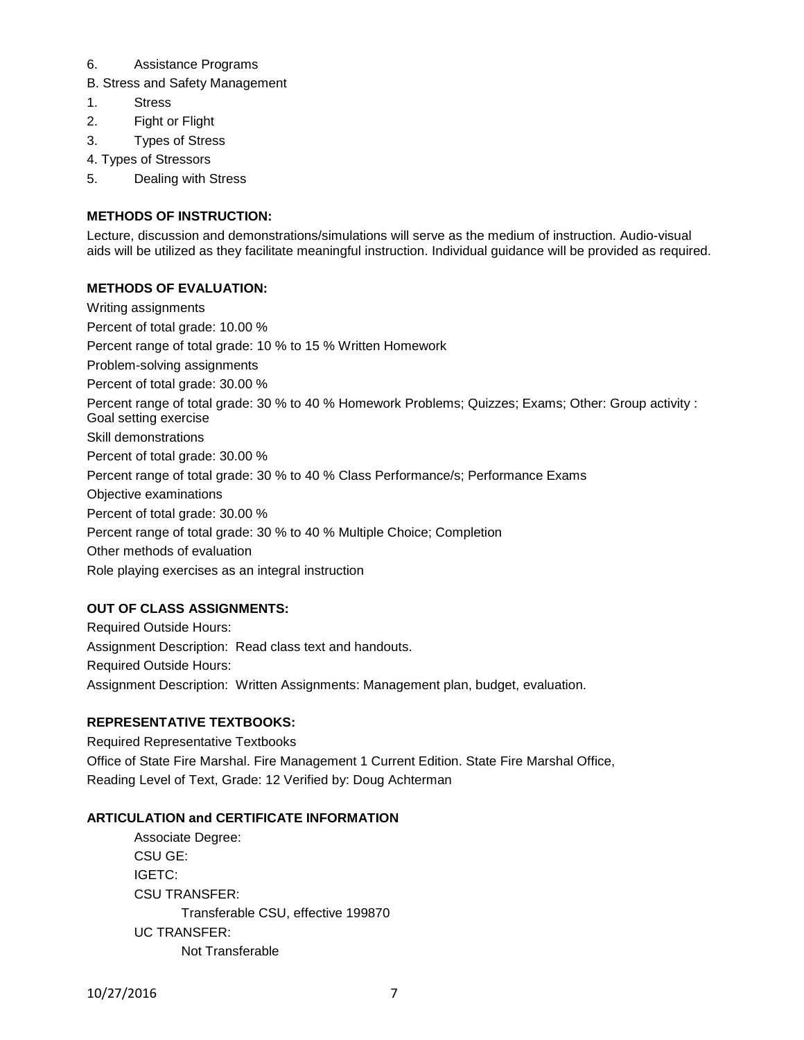#### 6. Assistance Programs

- B. Stress and Safety Management
- 1. Stress
- 2. Fight or Flight
- 3. Types of Stress
- 4. Types of Stressors
- 5. Dealing with Stress

# **METHODS OF INSTRUCTION:**

Lecture, discussion and demonstrations/simulations will serve as the medium of instruction. Audio-visual aids will be utilized as they facilitate meaningful instruction. Individual guidance will be provided as required.

## **METHODS OF EVALUATION:**

Writing assignments Percent of total grade: 10.00 % Percent range of total grade: 10 % to 15 % Written Homework Problem-solving assignments Percent of total grade: 30.00 % Percent range of total grade: 30 % to 40 % Homework Problems; Quizzes; Exams; Other: Group activity : Goal setting exercise Skill demonstrations Percent of total grade: 30.00 % Percent range of total grade: 30 % to 40 % Class Performance/s; Performance Exams Objective examinations Percent of total grade: 30.00 % Percent range of total grade: 30 % to 40 % Multiple Choice; Completion Other methods of evaluation Role playing exercises as an integral instruction

# **OUT OF CLASS ASSIGNMENTS:**

Required Outside Hours: Assignment Description: Read class text and handouts. Required Outside Hours: Assignment Description: Written Assignments: Management plan, budget, evaluation.

# **REPRESENTATIVE TEXTBOOKS:**

Required Representative Textbooks Office of State Fire Marshal. Fire Management 1 Current Edition. State Fire Marshal Office, Reading Level of Text, Grade: 12 Verified by: Doug Achterman

#### **ARTICULATION and CERTIFICATE INFORMATION**

Associate Degree: CSU GE: IGETC: CSU TRANSFER: Transferable CSU, effective 199870 UC TRANSFER: Not Transferable